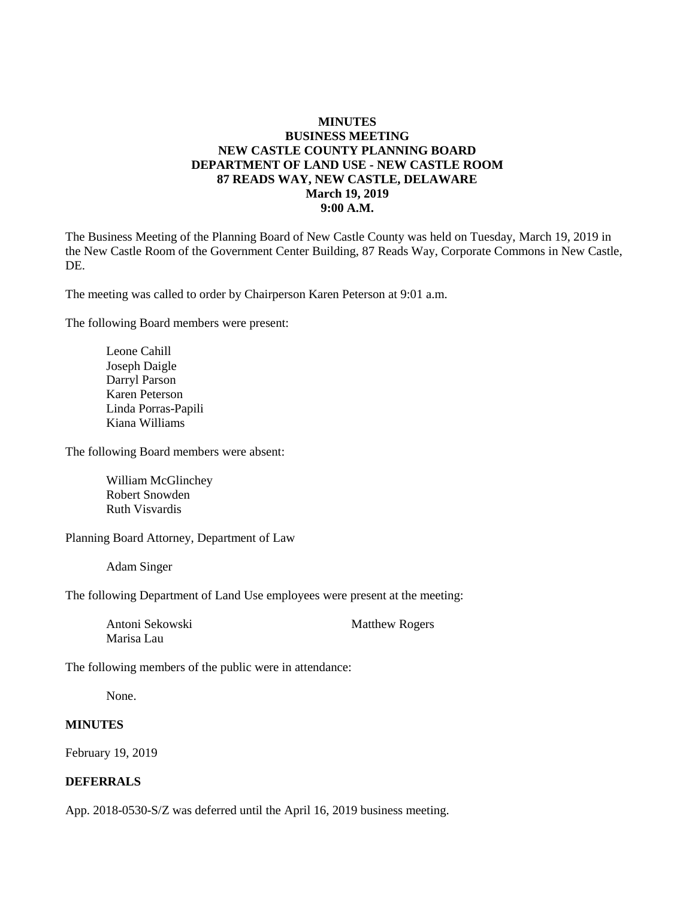### **MINUTES BUSINESS MEETING NEW CASTLE COUNTY PLANNING BOARD DEPARTMENT OF LAND USE - NEW CASTLE ROOM 87 READS WAY, NEW CASTLE, DELAWARE March 19, 2019 9:00 A.M.**

The Business Meeting of the Planning Board of New Castle County was held on Tuesday, March 19, 2019 in the New Castle Room of the Government Center Building, 87 Reads Way, Corporate Commons in New Castle, DE.

The meeting was called to order by Chairperson Karen Peterson at 9:01 a.m.

The following Board members were present:

Leone Cahill Joseph Daigle Darryl Parson Karen Peterson Linda Porras-Papili Kiana Williams

The following Board members were absent:

William McGlinchey Robert Snowden Ruth Visvardis

Planning Board Attorney, Department of Law

Adam Singer

The following Department of Land Use employees were present at the meeting:

Antoni Sekowski Matthew Rogers Marisa Lau

The following members of the public were in attendance:

None.

#### **MINUTES**

February 19, 2019

#### **DEFERRALS**

App. 2018-0530-S/Z was deferred until the April 16, 2019 business meeting.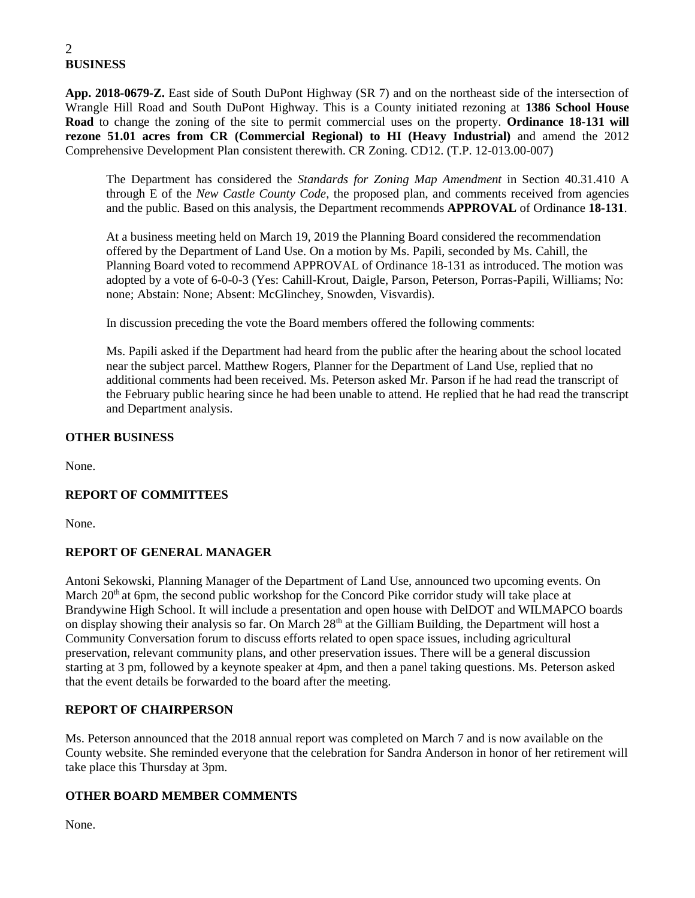### 2 **BUSINESS**

**App. 2018-0679-Z.** East side of South DuPont Highway (SR 7) and on the northeast side of the intersection of Wrangle Hill Road and South DuPont Highway. This is a County initiated rezoning at **1386 School House Road** to change the zoning of the site to permit commercial uses on the property. **Ordinance 18-131 will rezone 51.01 acres from CR (Commercial Regional) to HI (Heavy Industrial)** and amend the 2012 Comprehensive Development Plan consistent therewith. CR Zoning. CD12. (T.P. 12-013.00-007)

The Department has considered the *Standards for Zoning Map Amendment* in Section 40.31.410 A through E of the *New Castle County Code,* the proposed plan, and comments received from agencies and the public. Based on this analysis, the Department recommends **APPROVAL** of Ordinance **18-131**.

At a business meeting held on March 19, 2019 the Planning Board considered the recommendation offered by the Department of Land Use. On a motion by Ms. Papili, seconded by Ms. Cahill, the Planning Board voted to recommend APPROVAL of Ordinance 18-131 as introduced. The motion was adopted by a vote of 6-0-0-3 (Yes: Cahill-Krout, Daigle, Parson, Peterson, Porras-Papili, Williams; No: none; Abstain: None; Absent: McGlinchey, Snowden, Visvardis).

In discussion preceding the vote the Board members offered the following comments:

Ms. Papili asked if the Department had heard from the public after the hearing about the school located near the subject parcel. Matthew Rogers, Planner for the Department of Land Use, replied that no additional comments had been received. Ms. Peterson asked Mr. Parson if he had read the transcript of the February public hearing since he had been unable to attend. He replied that he had read the transcript and Department analysis.

### **OTHER BUSINESS**

None.

## **REPORT OF COMMITTEES**

None.

## **REPORT OF GENERAL MANAGER**

Antoni Sekowski, Planning Manager of the Department of Land Use, announced two upcoming events. On March 20<sup>th</sup> at 6pm, the second public workshop for the Concord Pike corridor study will take place at Brandywine High School. It will include a presentation and open house with DelDOT and WILMAPCO boards on display showing their analysis so far. On March 28<sup>th</sup> at the Gilliam Building, the Department will host a Community Conversation forum to discuss efforts related to open space issues, including agricultural preservation, relevant community plans, and other preservation issues. There will be a general discussion starting at 3 pm, followed by a keynote speaker at 4pm, and then a panel taking questions. Ms. Peterson asked that the event details be forwarded to the board after the meeting.

### **REPORT OF CHAIRPERSON**

Ms. Peterson announced that the 2018 annual report was completed on March 7 and is now available on the County website. She reminded everyone that the celebration for Sandra Anderson in honor of her retirement will take place this Thursday at 3pm.

### **OTHER BOARD MEMBER COMMENTS**

None.